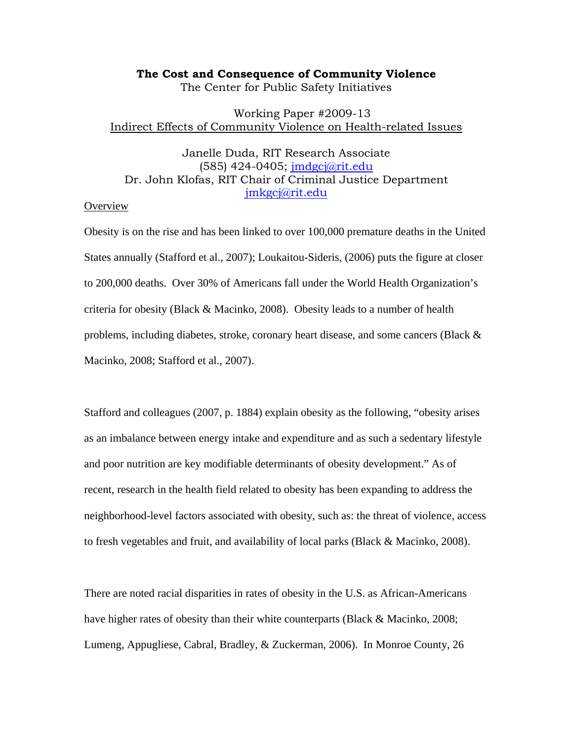## **The Cost and Consequence of Community Violence**

The Center for Public Safety Initiatives

## Working Paper #2009-13 Indirect Effects of Community Violence on Health-related Issues

# Janelle Duda, RIT Research Associate (585) 424-0405; jmdgcj@rit.edu Dr. John Klofas, RIT Chair of Criminal Justice Department jmkgcj@rit.edu

# Overview

Obesity is on the rise and has been linked to over 100,000 premature deaths in the United States annually (Stafford et al., 2007); Loukaitou-Sideris, (2006) puts the figure at closer to 200,000 deaths. Over 30% of Americans fall under the World Health Organization's criteria for obesity (Black & Macinko, 2008). Obesity leads to a number of health problems, including diabetes, stroke, coronary heart disease, and some cancers (Black & Macinko, 2008; Stafford et al., 2007).

Stafford and colleagues (2007, p. 1884) explain obesity as the following, "obesity arises as an imbalance between energy intake and expenditure and as such a sedentary lifestyle and poor nutrition are key modifiable determinants of obesity development." As of recent, research in the health field related to obesity has been expanding to address the neighborhood-level factors associated with obesity, such as: the threat of violence, access to fresh vegetables and fruit, and availability of local parks (Black & Macinko, 2008).

There are noted racial disparities in rates of obesity in the U.S. as African-Americans have higher rates of obesity than their white counterparts (Black & Macinko, 2008; Lumeng, Appugliese, Cabral, Bradley, & Zuckerman, 2006). In Monroe County, 26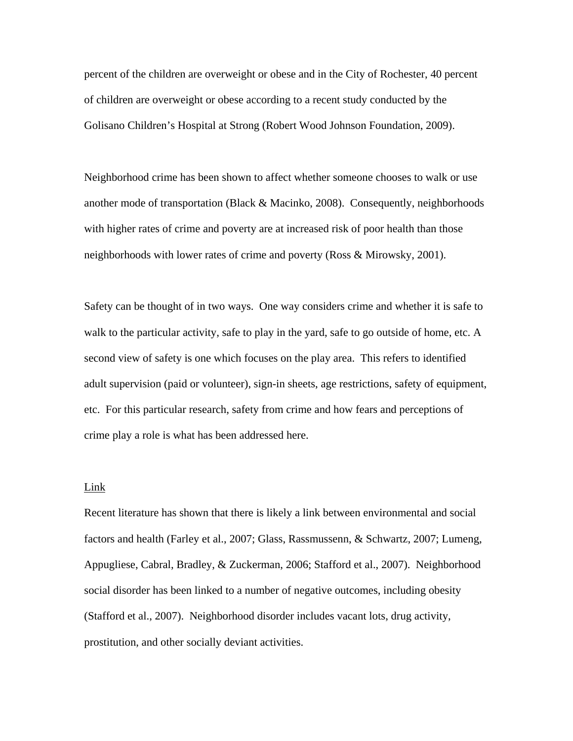percent of the children are overweight or obese and in the City of Rochester, 40 percent of children are overweight or obese according to a recent study conducted by the Golisano Children's Hospital at Strong (Robert Wood Johnson Foundation, 2009).

Neighborhood crime has been shown to affect whether someone chooses to walk or use another mode of transportation (Black & Macinko, 2008). Consequently, neighborhoods with higher rates of crime and poverty are at increased risk of poor health than those neighborhoods with lower rates of crime and poverty (Ross & Mirowsky, 2001).

Safety can be thought of in two ways. One way considers crime and whether it is safe to walk to the particular activity, safe to play in the yard, safe to go outside of home, etc. A second view of safety is one which focuses on the play area. This refers to identified adult supervision (paid or volunteer), sign-in sheets, age restrictions, safety of equipment, etc. For this particular research, safety from crime and how fears and perceptions of crime play a role is what has been addressed here.

#### Link

Recent literature has shown that there is likely a link between environmental and social factors and health (Farley et al., 2007; Glass, Rassmussenn, & Schwartz, 2007; Lumeng, Appugliese, Cabral, Bradley, & Zuckerman, 2006; Stafford et al., 2007). Neighborhood social disorder has been linked to a number of negative outcomes, including obesity (Stafford et al., 2007). Neighborhood disorder includes vacant lots, drug activity, prostitution, and other socially deviant activities.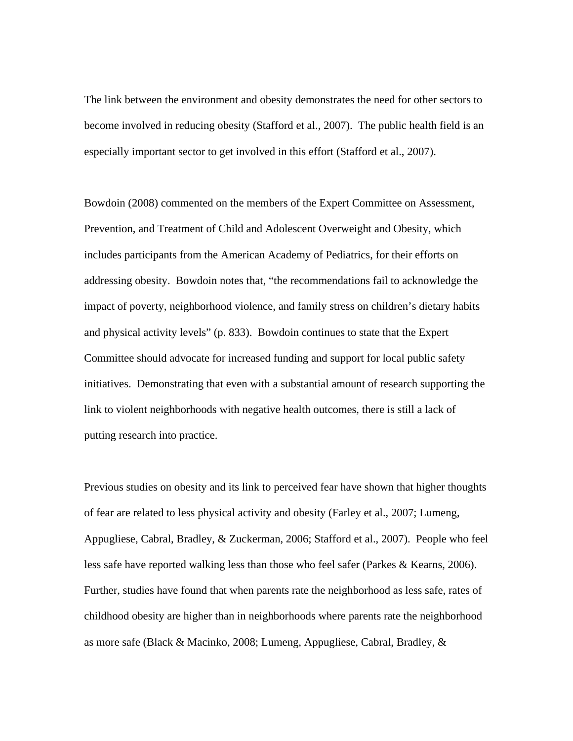The link between the environment and obesity demonstrates the need for other sectors to become involved in reducing obesity (Stafford et al., 2007). The public health field is an especially important sector to get involved in this effort (Stafford et al., 2007).

Bowdoin (2008) commented on the members of the Expert Committee on Assessment, Prevention, and Treatment of Child and Adolescent Overweight and Obesity, which includes participants from the American Academy of Pediatrics, for their efforts on addressing obesity. Bowdoin notes that, "the recommendations fail to acknowledge the impact of poverty, neighborhood violence, and family stress on children's dietary habits and physical activity levels" (p. 833). Bowdoin continues to state that the Expert Committee should advocate for increased funding and support for local public safety initiatives. Demonstrating that even with a substantial amount of research supporting the link to violent neighborhoods with negative health outcomes, there is still a lack of putting research into practice.

Previous studies on obesity and its link to perceived fear have shown that higher thoughts of fear are related to less physical activity and obesity (Farley et al., 2007; Lumeng, Appugliese, Cabral, Bradley, & Zuckerman, 2006; Stafford et al., 2007). People who feel less safe have reported walking less than those who feel safer (Parkes & Kearns, 2006). Further, studies have found that when parents rate the neighborhood as less safe, rates of childhood obesity are higher than in neighborhoods where parents rate the neighborhood as more safe (Black & Macinko, 2008; Lumeng, Appugliese, Cabral, Bradley, &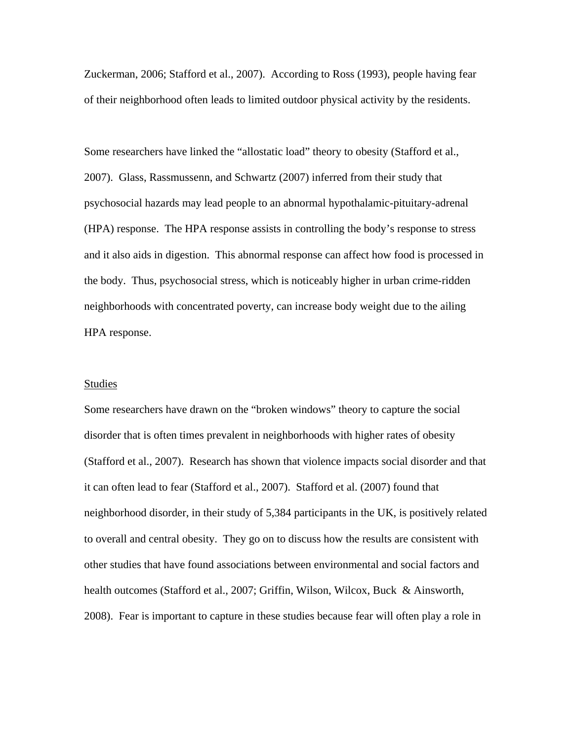Zuckerman, 2006; Stafford et al., 2007). According to Ross (1993), people having fear of their neighborhood often leads to limited outdoor physical activity by the residents.

Some researchers have linked the "allostatic load" theory to obesity (Stafford et al., 2007). Glass, Rassmussenn, and Schwartz (2007) inferred from their study that psychosocial hazards may lead people to an abnormal hypothalamic-pituitary-adrenal (HPA) response. The HPA response assists in controlling the body's response to stress and it also aids in digestion. This abnormal response can affect how food is processed in the body. Thus, psychosocial stress, which is noticeably higher in urban crime-ridden neighborhoods with concentrated poverty, can increase body weight due to the ailing HPA response.

#### Studies

Some researchers have drawn on the "broken windows" theory to capture the social disorder that is often times prevalent in neighborhoods with higher rates of obesity (Stafford et al., 2007). Research has shown that violence impacts social disorder and that it can often lead to fear (Stafford et al., 2007). Stafford et al. (2007) found that neighborhood disorder, in their study of 5,384 participants in the UK, is positively related to overall and central obesity. They go on to discuss how the results are consistent with other studies that have found associations between environmental and social factors and health outcomes (Stafford et al., 2007; Griffin, Wilson, Wilcox, Buck & Ainsworth, 2008). Fear is important to capture in these studies because fear will often play a role in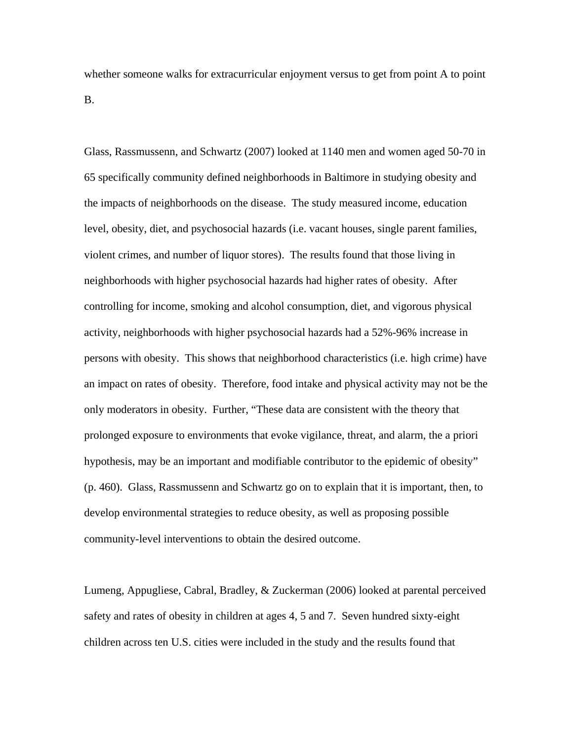whether someone walks for extracurricular enjoyment versus to get from point A to point B.

Glass, Rassmussenn, and Schwartz (2007) looked at 1140 men and women aged 50-70 in 65 specifically community defined neighborhoods in Baltimore in studying obesity and the impacts of neighborhoods on the disease. The study measured income, education level, obesity, diet, and psychosocial hazards (i.e. vacant houses, single parent families, violent crimes, and number of liquor stores). The results found that those living in neighborhoods with higher psychosocial hazards had higher rates of obesity. After controlling for income, smoking and alcohol consumption, diet, and vigorous physical activity, neighborhoods with higher psychosocial hazards had a 52%-96% increase in persons with obesity. This shows that neighborhood characteristics (i.e. high crime) have an impact on rates of obesity. Therefore, food intake and physical activity may not be the only moderators in obesity. Further, "These data are consistent with the theory that prolonged exposure to environments that evoke vigilance, threat, and alarm, the a priori hypothesis, may be an important and modifiable contributor to the epidemic of obesity" (p. 460). Glass, Rassmussenn and Schwartz go on to explain that it is important, then, to develop environmental strategies to reduce obesity, as well as proposing possible community-level interventions to obtain the desired outcome.

Lumeng, Appugliese, Cabral, Bradley, & Zuckerman (2006) looked at parental perceived safety and rates of obesity in children at ages 4, 5 and 7. Seven hundred sixty-eight children across ten U.S. cities were included in the study and the results found that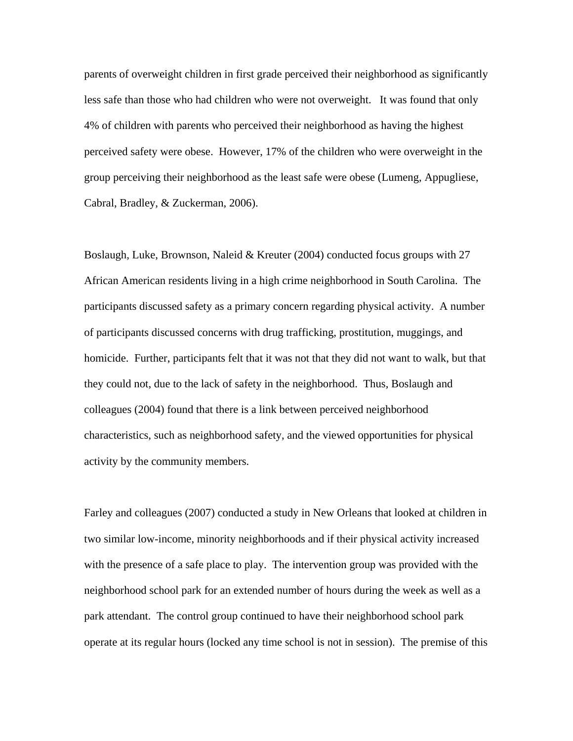parents of overweight children in first grade perceived their neighborhood as significantly less safe than those who had children who were not overweight. It was found that only 4% of children with parents who perceived their neighborhood as having the highest perceived safety were obese. However, 17% of the children who were overweight in the group perceiving their neighborhood as the least safe were obese (Lumeng, Appugliese, Cabral, Bradley, & Zuckerman, 2006).

Boslaugh, Luke, Brownson, Naleid & Kreuter (2004) conducted focus groups with 27 African American residents living in a high crime neighborhood in South Carolina. The participants discussed safety as a primary concern regarding physical activity. A number of participants discussed concerns with drug trafficking, prostitution, muggings, and homicide. Further, participants felt that it was not that they did not want to walk, but that they could not, due to the lack of safety in the neighborhood. Thus, Boslaugh and colleagues (2004) found that there is a link between perceived neighborhood characteristics, such as neighborhood safety, and the viewed opportunities for physical activity by the community members.

Farley and colleagues (2007) conducted a study in New Orleans that looked at children in two similar low-income, minority neighborhoods and if their physical activity increased with the presence of a safe place to play. The intervention group was provided with the neighborhood school park for an extended number of hours during the week as well as a park attendant. The control group continued to have their neighborhood school park operate at its regular hours (locked any time school is not in session). The premise of this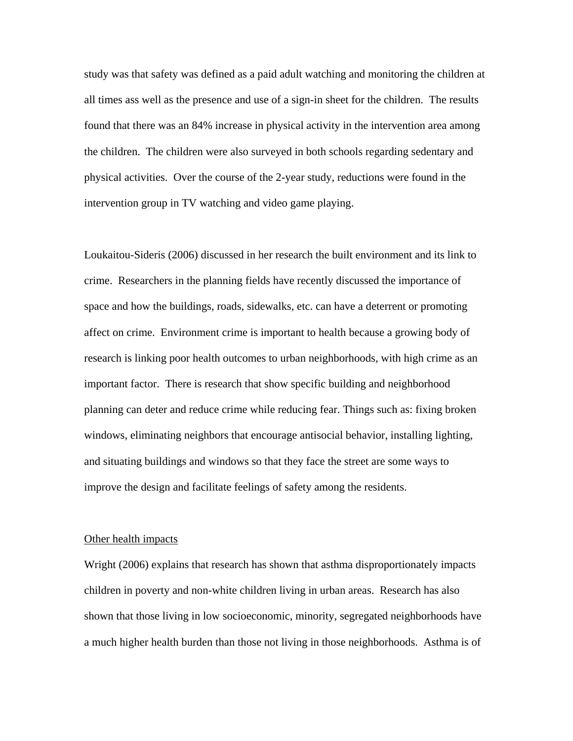study was that safety was defined as a paid adult watching and monitoring the children at all times ass well as the presence and use of a sign-in sheet for the children. The results found that there was an 84% increase in physical activity in the intervention area among the children. The children were also surveyed in both schools regarding sedentary and physical activities. Over the course of the 2-year study, reductions were found in the intervention group in TV watching and video game playing.

Loukaitou-Sideris (2006) discussed in her research the built environment and its link to crime. Researchers in the planning fields have recently discussed the importance of space and how the buildings, roads, sidewalks, etc. can have a deterrent or promoting affect on crime. Environment crime is important to health because a growing body of research is linking poor health outcomes to urban neighborhoods, with high crime as an important factor. There is research that show specific building and neighborhood planning can deter and reduce crime while reducing fear. Things such as: fixing broken windows, eliminating neighbors that encourage antisocial behavior, installing lighting, and situating buildings and windows so that they face the street are some ways to improve the design and facilitate feelings of safety among the residents.

#### Other health impacts

Wright (2006) explains that research has shown that asthma disproportionately impacts children in poverty and non-white children living in urban areas. Research has also shown that those living in low socioeconomic, minority, segregated neighborhoods have a much higher health burden than those not living in those neighborhoods. Asthma is of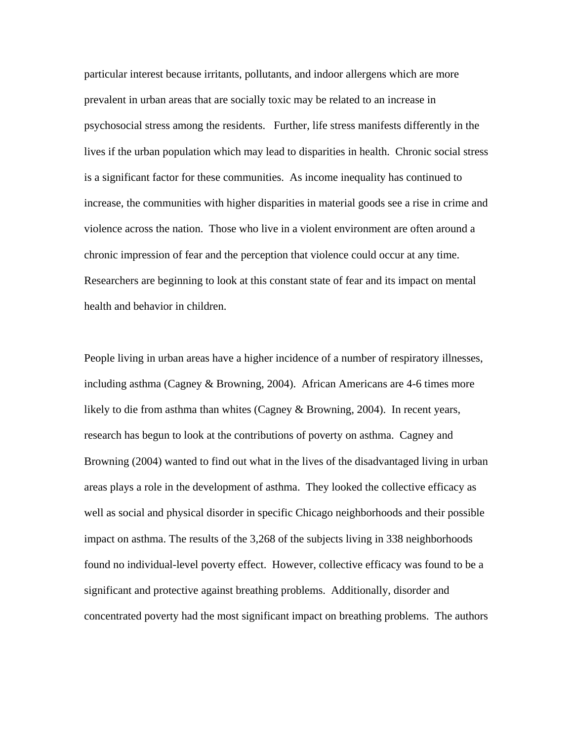particular interest because irritants, pollutants, and indoor allergens which are more prevalent in urban areas that are socially toxic may be related to an increase in psychosocial stress among the residents. Further, life stress manifests differently in the lives if the urban population which may lead to disparities in health. Chronic social stress is a significant factor for these communities. As income inequality has continued to increase, the communities with higher disparities in material goods see a rise in crime and violence across the nation. Those who live in a violent environment are often around a chronic impression of fear and the perception that violence could occur at any time. Researchers are beginning to look at this constant state of fear and its impact on mental health and behavior in children.

People living in urban areas have a higher incidence of a number of respiratory illnesses, including asthma (Cagney & Browning, 2004). African Americans are 4-6 times more likely to die from asthma than whites (Cagney & Browning, 2004). In recent years, research has begun to look at the contributions of poverty on asthma. Cagney and Browning (2004) wanted to find out what in the lives of the disadvantaged living in urban areas plays a role in the development of asthma. They looked the collective efficacy as well as social and physical disorder in specific Chicago neighborhoods and their possible impact on asthma. The results of the 3,268 of the subjects living in 338 neighborhoods found no individual-level poverty effect. However, collective efficacy was found to be a significant and protective against breathing problems. Additionally, disorder and concentrated poverty had the most significant impact on breathing problems. The authors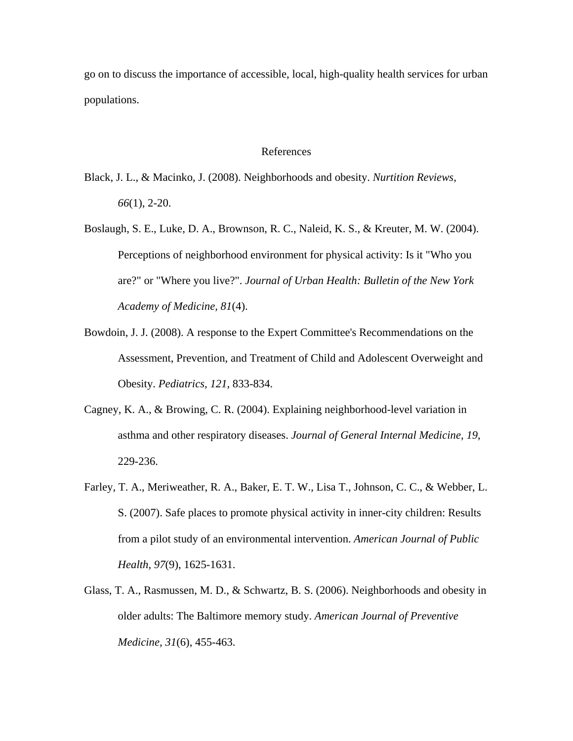go on to discuss the importance of accessible, local, high-quality health services for urban populations.

### References

- Black, J. L., & Macinko, J. (2008). Neighborhoods and obesity. *Nurtition Reviews, 66*(1), 2-20.
- Boslaugh, S. E., Luke, D. A., Brownson, R. C., Naleid, K. S., & Kreuter, M. W. (2004). Perceptions of neighborhood environment for physical activity: Is it "Who you are?" or "Where you live?". *Journal of Urban Health: Bulletin of the New York Academy of Medicine, 81*(4).
- Bowdoin, J. J. (2008). A response to the Expert Committee's Recommendations on the Assessment, Prevention, and Treatment of Child and Adolescent Overweight and Obesity. *Pediatrics, 121*, 833-834.
- Cagney, K. A., & Browing, C. R. (2004). Explaining neighborhood-level variation in asthma and other respiratory diseases. *Journal of General Internal Medicine, 19*, 229-236.
- Farley, T. A., Meriweather, R. A., Baker, E. T. W., Lisa T., Johnson, C. C., & Webber, L. S. (2007). Safe places to promote physical activity in inner-city children: Results from a pilot study of an environmental intervention. *American Journal of Public Health, 97*(9), 1625-1631.
- Glass, T. A., Rasmussen, M. D., & Schwartz, B. S. (2006). Neighborhoods and obesity in older adults: The Baltimore memory study. *American Journal of Preventive Medicine, 31*(6), 455-463.